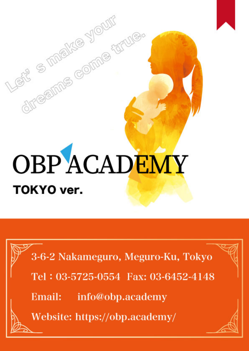# **OBPACADEMY TOKYO** ver.

directions compared

3-6-2 Nakameguro, Meguro-Ku, Tokyo

Tel: 03-5725-0554 Fax: 03-6452-4148

Email: info@obp.academy

Website: https://obp.academy/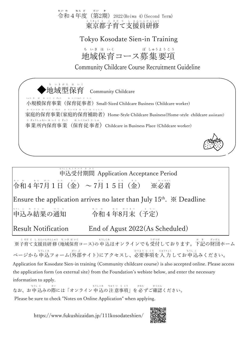#### \*ぃゃ \*<u>^ ど だい</u> \*<br>令和4年度(第2期)2022(Reiwa 4)(Second Term) れい わ ねん ど 東 と う 京 きょう 都 と 子 こ 育 そ だ て て 支 し 援 え ん 員 い ん 研 け ん 修 しゅう

## Tokyo Kosodate Sien-in Training

地域保育コース募集要項 ち いき ほ いく ぼ しゅうようこう

Community Childcare Course Recruitment Guideline





information to apply. なお、お申 込みの際には「オンライン 申 込の 注 意事項」を 必 ずご確認ください。 もうし こ さい もうしこみ ちゅう いっじこう かなら かく にん Please be sure to check "Notes on Online Application" when applying.

https://www.fukushizaidan.jp/111kosodateshien/

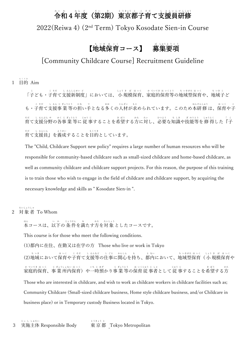# 令 れ い 和 わ 4年 ね ん 度 ど (第 だ い 2期 き )東 と う 京 きょう 都 と 子 こ 育 そ だ て支 し 援 え ん 員 い ん 研 け ん 修 しゅう

2022(Reiwa 4) (2 nd Term) Tokyo Kosodate Sien-in Course

#### 【地域保育コース】 募 ほ 集 要 項 しゅう よ う こ う i<br>L

### [Community Childcare Course] Recruitment Guideline

1 目 的 Aim もくてき

> 「子ども・子育て支援新制度」においては、小 規模保育、家庭的保育等の地域型保育や、地域子ど こ こ そだ し えんしんせい ど しょう きぼ ほいく かていてきほいくとう ちいきがたほいく ち いき こ も・子育て支援事 業 等の担い手となる多くの人材が求められています。このため本研 修 は、保育や子 こ そだっしし えん じ ぎょうとうっ にな て おお じんざい もと ほん けん しゅう ほ いく こ 育 そだ て支 し 援 えん 分 ぶん 野 や の各 かく 事 じ 業 ぎょう 等 とう に 従 じゅう 事 じ することを希 き 望 ぼう する方 かた に対 たい し、必 ひつ 要 よう な知 ち 識 しき や技 ぎ 能 のう 等 とう を修 しゅう 得 とく した『 「 子 こ 育て支援員』を養成することを目的としています。 そだ し えんいん よう せい もく てき

> The "Child, Childcare Support new policy" requires a large number of human resources who will be responsible for community-based childcare such as small-sized childcare and home-based childcare, as well as community childcare and childcare support projects. For this reason, the purpose of this training is to train those who wish to engage in the field of childcare and childcare support, by acquiring the necessary knowledge and skills as " Kosodate Sien-in ".

2 対 象 者 To Whom たい しょう しゃ

> 本コースは、以下の 条 件を満たす方を対 象 としたコースです。 ほん い か じょうけん み かた たいしょう

This course is for those who meet the following conditions.

(1)都内に在住、在勤又は在学の方 Those who live or work in Tokyo

(2)地域において保育や子育て支援等の仕事に関心を持ち、都内において、地域型保育( 小 規模保育や ち いき ほ いく こ そだっしゃ えんなどっかし じごとう かんしん  $\phi_{\rm b}$ と ない ち いきがた ほ いく しょうき ぼ ほいく 家庭的保育、事 業 所内保育)や一時預かり事 業 等の保育 従 事者として 従 事することを希望する方 か ていてき ほ いく じ ぎょうしょない ほ いく いち じ あず じ ぎょうとう ほ いくじゅう じ しゃ じゅう じ き ぼう かた Those who are interested in childcare, and wish to work as childcare workers in childcare facilities such as; Community Childcare (Small-sized childcare business, Home style childcare business, and/or Childcare in business place) or in Temporary custody Business located in Tokyo.